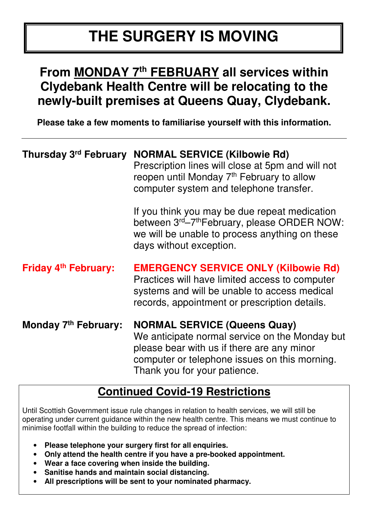# **THE SURGERY IS MOVING**

# **From MONDAY 7th FEBRUARY all services within Clydebank Health Centre will be relocating to the newly-built premises at Queens Quay, Clydebank.**

**Please take a few moments to familiarise yourself with this information.** 

| Thursday 3rd February       | <b>NORMAL SERVICE (Kilbowie Rd)</b><br>Prescription lines will close at 5pm and will not<br>reopen until Monday 7 <sup>th</sup> February to allow<br>computer system and telephone transfer.                         |
|-----------------------------|----------------------------------------------------------------------------------------------------------------------------------------------------------------------------------------------------------------------|
|                             | If you think you may be due repeat medication<br>between 3 <sup>rd</sup> –7 <sup>th</sup> February, please ORDER NOW:<br>we will be unable to process anything on these<br>days without exception.                   |
| <b>Friday 4th February:</b> | <b>EMERGENCY SERVICE ONLY (Kilbowie Rd)</b><br>Practices will have limited access to computer<br>systems and will be unable to access medical<br>records, appointment or prescription details.                       |
| Monday 7th February:        | <b>NORMAL SERVICE (Queens Quay)</b><br>We anticipate normal service on the Monday but<br>please bear with us if there are any minor<br>computer or telephone issues on this morning.<br>Thank you for your patience. |

# **Continued Covid-19 Restrictions**

Until Scottish Government issue rule changes in relation to health services, we will still be operating under current guidance within the new health centre. This means we must continue to minimise footfall within the building to reduce the spread of infection:

- **Please telephone your surgery first for all enquiries.**
- **Only attend the health centre if you have a pre-booked appointment.**
- **Wear a face covering when inside the building.**
- **Sanitise hands and maintain social distancing.**
- **All prescriptions will be sent to your nominated pharmacy.**